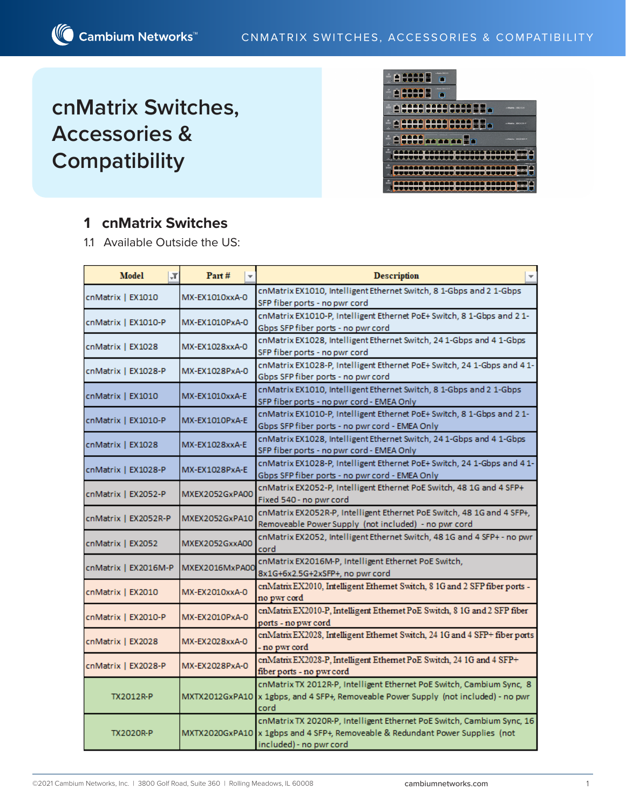# **cnMatrix Switches, Accessories & Compatibility**



# **1 cnMatrix Switches**

1.1 Available Outside the US:

| Model<br>$\vert \mathbf{F} \vert$ | Part#          | <b>Description</b>                                                                                                                                                                 |  |  |  |
|-----------------------------------|----------------|------------------------------------------------------------------------------------------------------------------------------------------------------------------------------------|--|--|--|
| cnMatrix   EX1010                 | MX-EX1010xxA-0 | cnMatrix EX1010, Intelligent Ethernet Switch, 8 1-Gbps and 2 1-Gbps<br>SFP fiber ports - no pwr cord                                                                               |  |  |  |
| cnMatrix   EX1010-P               | MX-EX1010PxA-0 | cnMatrix EX1010-P, Intelligent Ethernet PoE+ Switch, 8 1-Gbps and 2 1-<br>Gbps SFP fiber ports - no pwr cord                                                                       |  |  |  |
| cnMatrix   EX1028                 | MX-EX1028xxA-0 | cnMatrix EX1028, Intelligent Ethernet Switch, 24 1-Gbps and 4 1-Gbps<br>SFP fiber ports - no pwr cord                                                                              |  |  |  |
| cnMatrix   EX1028-P               | MX-EX1028PxA-0 | cnMatrix EX1028-P, Intelligent Ethernet PoE+ Switch, 24 1-Gbps and 4 1-<br>Gbps SFP fiber ports - no pwr cord                                                                      |  |  |  |
| cnMatrix   EX1010                 | MX-EX1010xxA-E | cnMatrix EX1010, Intelligent Ethernet Switch, 8 1-Gbps and 2 1-Gbps<br>SFP fiber ports - no pwr cord - EMEA Only                                                                   |  |  |  |
| cnMatrix   EX1010-P               | MX-EX1010PxA-E | cnMatrix EX1010-P, Intelligent Ethernet PoE+ Switch, 8 1-Gbps and 2 1-<br>Gbps SFP fiber ports - no pwr cord - EMEA Only                                                           |  |  |  |
| cnMatrix   EX1028                 | MX-EX1028xxA-E | cnMatrix EX1028, Intelligent Ethernet Switch, 24 1-Gbps and 4 1-Gbps<br>SFP fiber ports - no pwr cord - EMEA Only                                                                  |  |  |  |
| cnMatrix   EX1028-P               | MX-EX1028PxA-E | cnMatrix EX1028-P, Intelligent Ethernet PoE+ Switch, 24 1-Gbps and 4 1-<br>Gbps SFP fiber ports - no pwr cord - EMEA Only                                                          |  |  |  |
| cnMatrix   EX2052-P               | MXEX2052GxPA00 | cnMatrix EX2052-P, Intelligent Ethernet PoE Switch, 48 1G and 4 SFP+<br>Fixed 540 - no pwr cord                                                                                    |  |  |  |
| cnMatrix   EX2052R-P              | MXEX2052GxPA10 | cnMatrix EX2052R-P, Intelligent Ethernet PoE Switch, 48 1G and 4 SFP+,<br>Removeable Power Supply (not included) - no pwr cord                                                     |  |  |  |
| cnMatrix   EX2052                 | MXEX2052GxxA00 | cnMatrix EX2052, Intelligent Ethernet Switch, 48 1G and 4 SFP+ - no pwr<br>cord                                                                                                    |  |  |  |
| cnMatrix   EX2016M-P              | MXEX2016MxPA00 | cnMatrix EX2016M-P, Intelligent Ethernet PoE Switch,<br>8x1G+6x2.5G+2xSFP+, no pwr cord                                                                                            |  |  |  |
| cnMatrix   EX2010                 | MX-EX2010xxA-0 | cnMatrix EX2010, Intelligent Ethernet Switch, 8 1G and 2 SFP fiber ports -<br>no pwr cord                                                                                          |  |  |  |
| cnMatrix   EX2010-P               | MX-EX2010PxA-0 | cnMatrix EX2010-P, Intelligent Ethernet PoE Switch, 8 1G and 2 SFP fiber<br>ports - no pwr cord                                                                                    |  |  |  |
| cnMatrix   EX2028                 | MX-EX2028xxA-0 | cnMatrix EX2028, Intelligent Ethernet Switch, 24 1G and 4 SFP+ fiber ports<br>- no pwr cord                                                                                        |  |  |  |
| cnMatrix   EX2028-P               | MX-EX2028PxA-0 | cnMatrix EX2028-P, Intelligent Ethernet PoE Switch, 24 1G and 4 SFP+<br>fiber ports - no pwr cord                                                                                  |  |  |  |
| <b>TX2012R-P</b>                  | MXTX2012GxPA10 | cnMatrix TX 2012R-P, Intelligent Ethernet PoE Switch, Cambium Sync, 8<br>x 1gbps, and 4 SFP+, Removeable Power Supply (not included) - no pwr<br>cord                              |  |  |  |
| <b>TX2020R-P</b>                  |                | cnMatrix TX 2020R-P, Intelligent Ethernet PoE Switch, Cambium Sync, 16<br>MXTX2020GxPA10 x 1gbps and 4 SFP+, Removeable & Redundant Power Supplies (not<br>included) - no pwr cord |  |  |  |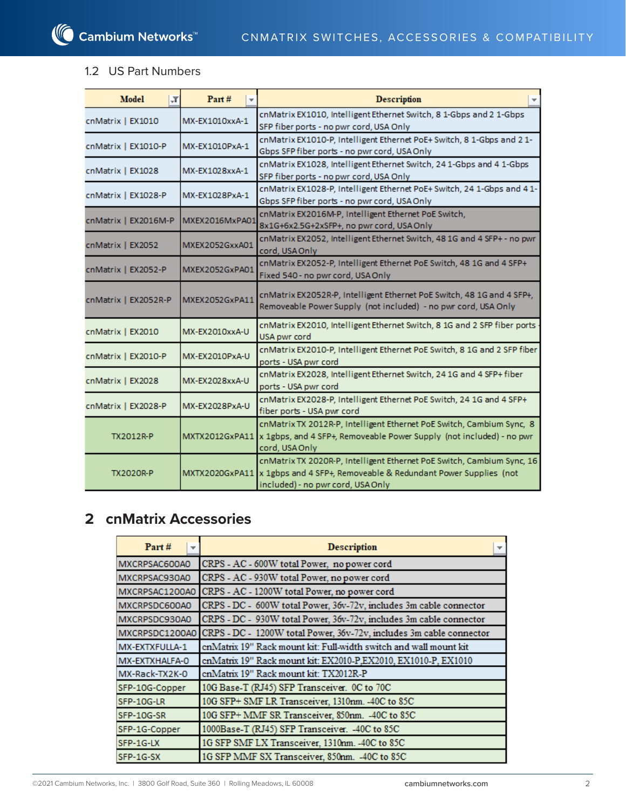#### 1.2 US Part Numbers

| Model<br>T,          | Part#          | <b>Description</b>                                                                                                                                                                           |
|----------------------|----------------|----------------------------------------------------------------------------------------------------------------------------------------------------------------------------------------------|
| cnMatrix   EX1010    | MX-EX1010xxA-1 | cnMatrix EX1010, Intelligent Ethernet Switch, 8 1-Gbps and 2 1-Gbps<br>SFP fiber ports - no pwr cord, USA Only                                                                               |
| cnMatrix   EX1010-P  | MX-EX1010PxA-1 | cnMatrix EX1010-P, Intelligent Ethernet PoE+ Switch, 8 1-Gbps and 2 1-<br>Gbps SFP fiber ports - no pwr cord, USA Only                                                                       |
| cnMatrix   EX1028    | MX-EX1028xxA-1 | cnMatrix EX1028, Intelligent Ethernet Switch, 24 1-Gbps and 4 1-Gbps<br>SFP fiber ports - no pwr cord, USA Only                                                                              |
| cnMatrix   EX1028-P  | MX-EX1028PxA-1 | cnMatrix EX1028-P, Intelligent Ethernet PoE+ Switch, 24 1-Gbps and 4 1-<br>Gbps SFP fiber ports - no pwr cord, USA Only                                                                      |
| cnMatrix   EX2016M-P | MXEX2016MxPA01 | cnMatrix EX2016M-P, Intelligent Ethernet PoE Switch,<br>8x1G+6x2.5G+2xSFP+, no pwr cord, USAOnly                                                                                             |
| cnMatrix   EX2052    | MXEX2052GxxA01 | cnMatrix EX2052, Intelligent Ethernet Switch, 48 1G and 4 SFP+ - no pwr<br>cord, USA Only                                                                                                    |
| cnMatrix   EX2052-P  | MXEX2052GxPA01 | cnMatrix EX2052-P, Intelligent Ethernet PoE Switch, 48 1G and 4 SFP+<br>Fixed 540 - no pwr cord, USA Only                                                                                    |
| cnMatrix   EX2052R-P | MXEX2052GxPA11 | cnMatrix EX2052R-P, Intelligent Ethernet PoE Switch, 48 1G and 4 SFP+,<br>Removeable Power Supply (not included) - no pwr cord, USA Only                                                     |
| cnMatrix   EX2010    | MX-EX2010xxA-U | cnMatrix EX2010, Intelligent Ethernet Switch, 8 1G and 2 SFP fiber ports<br>USA pwr cord                                                                                                     |
| cnMatrix   EX2010-P  | MX-EX2010PxA-U | cnMatrix EX2010-P, Intelligent Ethernet PoE Switch, 8 1G and 2 SFP fiber<br>ports - USA pwr cord                                                                                             |
| cnMatrix   EX2028    | MX-EX2028xxA-U | cnMatrix EX2028, Intelligent Ethernet Switch, 24 1G and 4 SFP+ fiber<br>ports - USA pwr cord                                                                                                 |
| cnMatrix   EX2028-P  | MX-EX2028PxA-U | cnMatrix EX2028-P, Intelligent Ethernet PoE Switch, 24 1G and 4 SFP+<br>fiber ports - USA pwr cord                                                                                           |
| <b>TX2012R-P</b>     | MXTX2012GxPA11 | cnMatrix TX 2012R-P, Intelligent Ethernet PoE Switch, Cambium Sync, 8<br>x 1gbps, and 4 SFP+, Removeable Power Supply (not included) - no pwr<br>cord, USA Only                              |
| <b>TX2020R-P</b>     |                | cnMatrix TX 2020R-P, Intelligent Ethernet PoE Switch, Cambium Sync, 16<br>MXTX2020GxPA11 x 1gbps and 4 SFP+, Removeable & Redundant Power Supplies (not<br>included) - no pwr cord, USA Only |

# **2 cnMatrix Accessories**

| Part#<br>▼     | <b>Description</b>                                                                 |  |  |
|----------------|------------------------------------------------------------------------------------|--|--|
| MXCRPSAC600A0  | CRPS - AC - 600W total Power, no power cord                                        |  |  |
| MXCRPSAC930A0  | CRPS - AC - 930W total Power, no power cord                                        |  |  |
| MXCRPSAC1200A0 | CRPS - AC - 1200W total Power, no power cord                                       |  |  |
| MXCRPSDC600A0  | CRPS - DC - 600W total Power, 36v-72v, includes 3m cable connector                 |  |  |
| MXCRPSDC930A0  | CRPS - DC - 930W total Power, 36v-72v, includes 3m cable connector                 |  |  |
|                | MXCRPSDC1200A0 CRPS - DC - 1200W total Power, 36v-72v, includes 3m cable connector |  |  |
| MX-EXTXFULLA-1 | enMatrix 19" Rack mount kit: Full-width switch and wall mount kit                  |  |  |
| MX-EXTXHALFA-0 | cnMatrix 19" Rack mount kit: EX2010-P,EX2010, EX1010-P, EX1010                     |  |  |
| MX-Rack-TX2K-0 | cnMatrix 19" Rack mount kit: TX2012R-P                                             |  |  |
| SFP-10G-Copper | 10G Base-T (RJ45) SFP Transceiver. 0C to 70C                                       |  |  |
| SFP-10G-LR     | 10G SFP+ SMF LR Transceiver, 1310nm. - 40C to 85C                                  |  |  |
| SFP-10G-SR     | 10G SFP+ MMF SR Transceiver, 850nm. - 40C to 85C                                   |  |  |
| SFP-1G-Copper  | 1000Base-T (RJ45) SFP Transceiver. - 40C to 85C                                    |  |  |
| SFP-1G-LX      | 1G SFP SMF LX Transceiver, 1310nm. - 40C to 85C                                    |  |  |
| SFP-1G-SX      | 1G SFP MMF SX Transceiver, 850nm. - 40C to 85C                                     |  |  |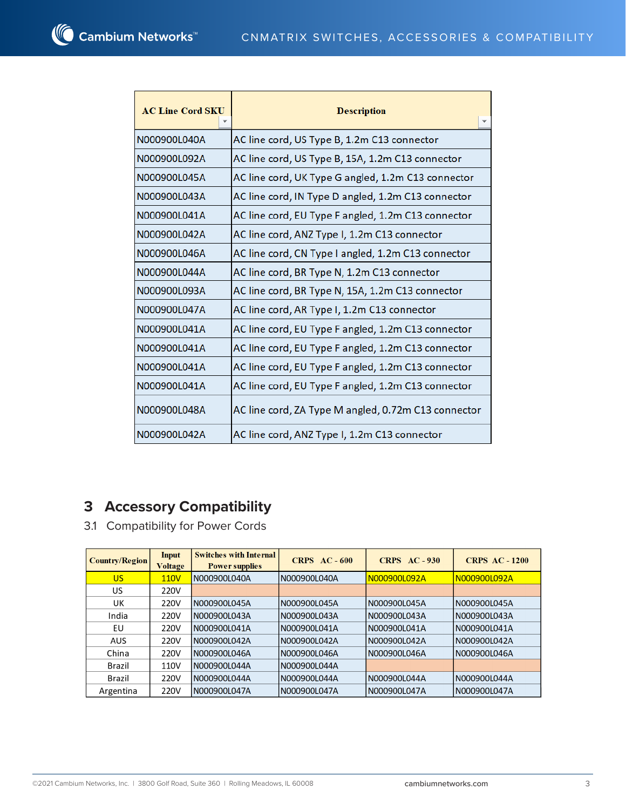| <b>AC Line Cord SKU</b> | <b>Description</b>                                  |  |  |  |
|-------------------------|-----------------------------------------------------|--|--|--|
|                         |                                                     |  |  |  |
| N000900L040A            | AC line cord, US Type B, 1.2m C13 connector         |  |  |  |
| N000900L092A            | AC line cord, US Type B, 15A, 1.2m C13 connector    |  |  |  |
| N000900L045A            | AC line cord, UK Type G angled, 1.2m C13 connector  |  |  |  |
| N000900L043A            | AC line cord, IN Type D angled, 1.2m C13 connector  |  |  |  |
| N000900L041A            | AC line cord, EU Type F angled, 1.2m C13 connector  |  |  |  |
| N000900L042A            | AC line cord, ANZ Type I, 1.2m C13 connector        |  |  |  |
| N000900L046A            | AC line cord, CN Type I angled, 1.2m C13 connector  |  |  |  |
| N000900L044A            | AC line cord, BR Type N, 1.2m C13 connector         |  |  |  |
| N000900L093A            | AC line cord, BR Type N, 15A, 1.2m C13 connector    |  |  |  |
| N000900L047A            | AC line cord, AR Type I, 1.2m C13 connector         |  |  |  |
| N000900L041A            | AC line cord, EU Type F angled, 1.2m C13 connector  |  |  |  |
| N000900L041A            | AC line cord, EU Type F angled, 1.2m C13 connector  |  |  |  |
| N000900L041A            | AC line cord, EU Type F angled, 1.2m C13 connector  |  |  |  |
| N000900L041A            | AC line cord, EU Type F angled, 1.2m C13 connector  |  |  |  |
| N000900L048A            | AC line cord, ZA Type M angled, 0.72m C13 connector |  |  |  |
| N000900L042A            | AC line cord, ANZ Type I, 1.2m C13 connector        |  |  |  |

# **3 Accessory Compatibility**

3.1 Compatibility for Power Cords

| <b>Country/Region</b> | Input<br><b>Voltage</b> | <b>Switches with Internal</b><br><b>Power supplies</b> | CRPS $AC - 600$ | CRPS $AC - 930$ | <b>CRPS AC - 1200</b> |
|-----------------------|-------------------------|--------------------------------------------------------|-----------------|-----------------|-----------------------|
| <b>US</b>             | <b>110V</b>             | N000900L040A                                           | N000900L040A    | N000900L092A    | N000900L092A          |
| US                    | 220V                    |                                                        |                 |                 |                       |
| UK                    | 220V                    | N000900L045A                                           | N000900L045A    | N000900L045A    | IN000900L045A         |
| India                 | 220V                    | N000900L043A                                           | N000900L043A    | N000900L043A    | IN000900L043A         |
| EU                    | 220V                    | N000900L041A                                           | N000900L041A    | N000900L041A    | N000900L041A          |
| <b>AUS</b>            | 220V                    | N000900L042A                                           | N000900L042A    | N000900L042A    | IN000900L042A         |
| China                 | 220V                    | N000900L046A                                           | N000900L046A    | N000900L046A    | N000900L046A          |
| Brazil                | 110V                    | N000900L044A                                           | N000900L044A    |                 |                       |
| Brazil                | 220V                    | N000900L044A                                           | N000900L044A    | N000900L044A    | IN000900L044A         |
| Argentina             | 220V                    | N000900L047A                                           | N000900L047A    | N000900L047A    | IN000900L047A         |